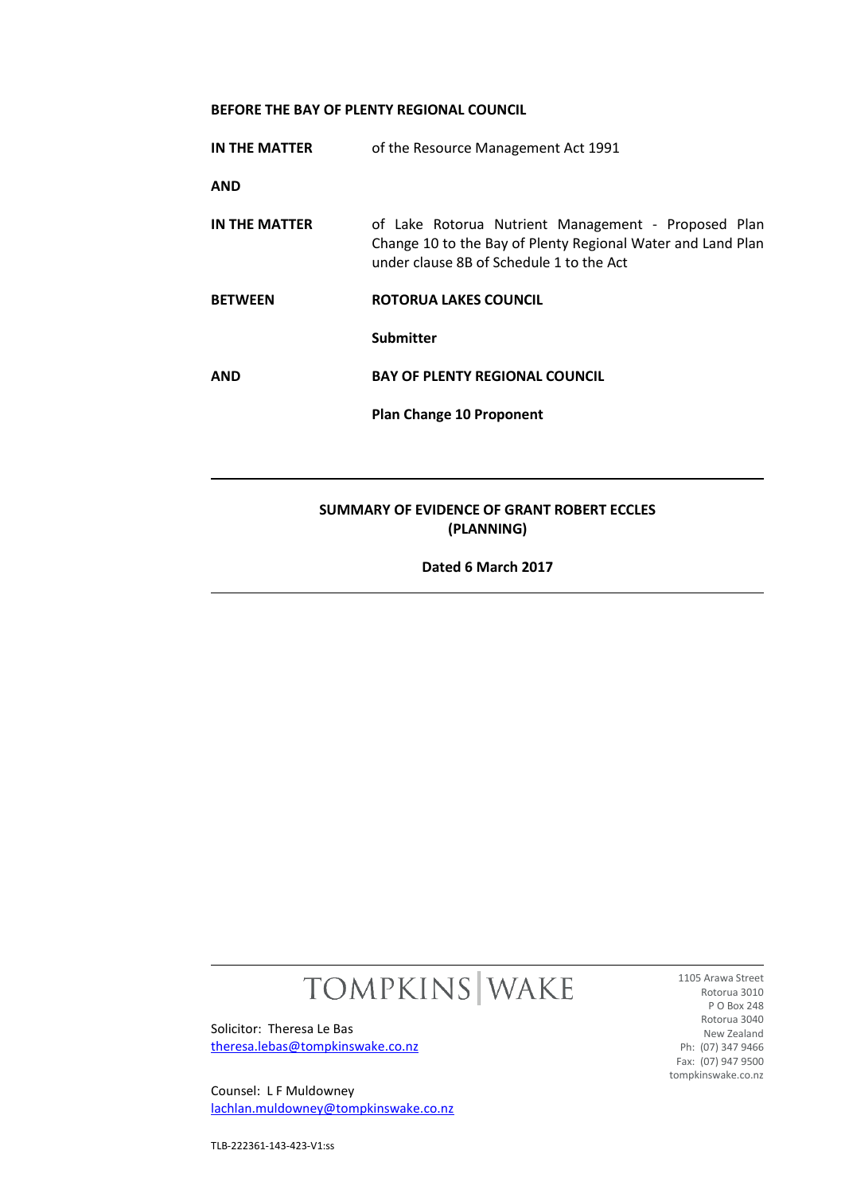## **BEFORE THE BAY OF PLENTY REGIONAL COUNCIL**

| IN THE MATTER                                            | of the Resource Management Act 1991                                                                                                                            |
|----------------------------------------------------------|----------------------------------------------------------------------------------------------------------------------------------------------------------------|
| <b>AND</b>                                               |                                                                                                                                                                |
| IN THE MATTER                                            | of Lake Rotorua Nutrient Management - Proposed Plan<br>Change 10 to the Bay of Plenty Regional Water and Land Plan<br>under clause 8B of Schedule 1 to the Act |
| <b>BETWEEN</b>                                           | <b>ROTORUA LAKES COUNCIL</b>                                                                                                                                   |
|                                                          | <b>Submitter</b>                                                                                                                                               |
| <b>AND</b>                                               | <b>BAY OF PLENTY REGIONAL COUNCIL</b>                                                                                                                          |
|                                                          | <b>Plan Change 10 Proponent</b>                                                                                                                                |
|                                                          |                                                                                                                                                                |
| SUMMARY OF EVIDENCE OF GRANT ROBERT ECCLES<br>(PLANNING) |                                                                                                                                                                |
| Dated 6 March 2017                                       |                                                                                                                                                                |

# TOMPKINS WAKE

Solicitor: Theresa Le Bas [theresa.lebas@tompkinswake.co.nz](mailto:theresa.lebas@tompkinswake.co.nz)

Counsel: L F Muldowney [lachlan.muldowney@tompkinswake.co.nz](mailto:lachlan.muldowney@tompkinswake.co.nz)

1105 Arawa Street Rotorua 3010 P O Box 248 Rotorua 3040 New Zealand Ph: (07) 347 9466 Fax: (07) 947 9500 tompkinswake.co.nz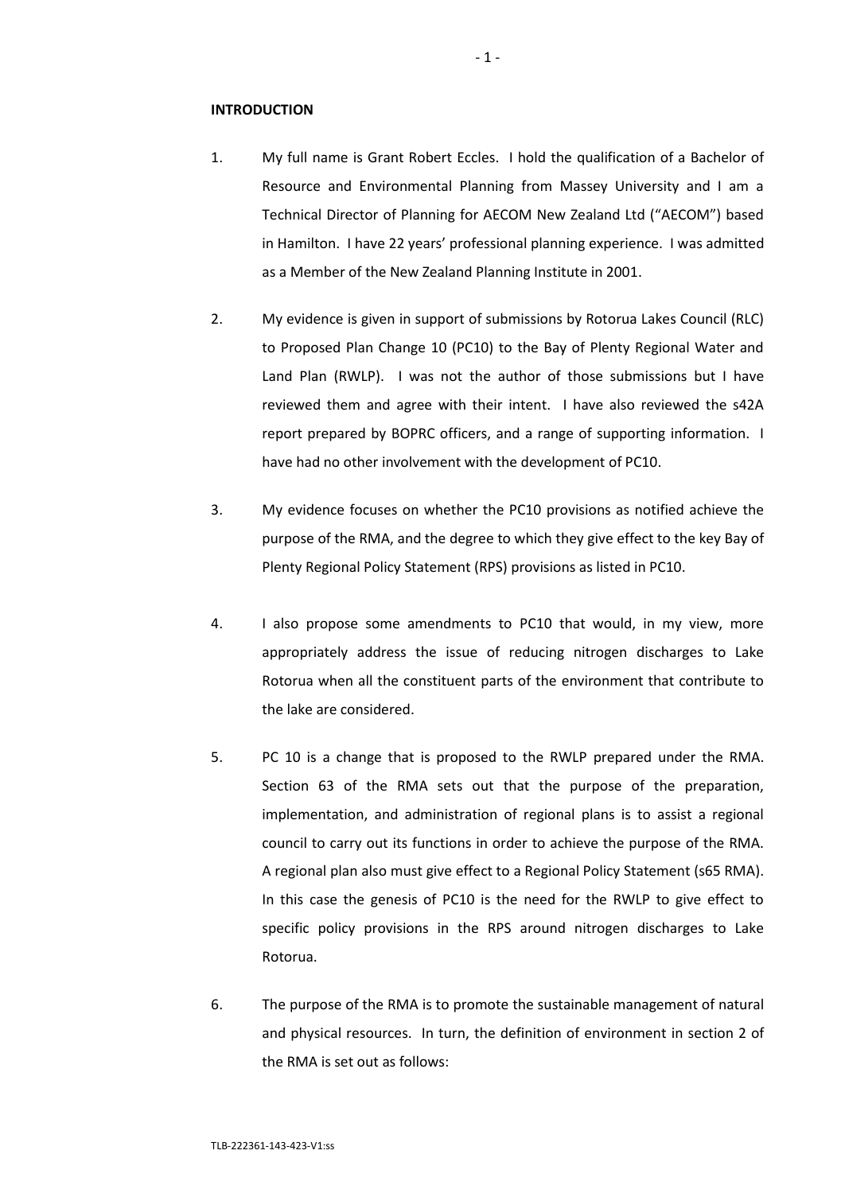#### **INTRODUCTION**

- 1. My full name is Grant Robert Eccles. I hold the qualification of a Bachelor of Resource and Environmental Planning from Massey University and I am a Technical Director of Planning for AECOM New Zealand Ltd ("AECOM") based in Hamilton. I have 22 years' professional planning experience. I was admitted as a Member of the New Zealand Planning Institute in 2001.
- 2. My evidence is given in support of submissions by Rotorua Lakes Council (RLC) to Proposed Plan Change 10 (PC10) to the Bay of Plenty Regional Water and Land Plan (RWLP). I was not the author of those submissions but I have reviewed them and agree with their intent. I have also reviewed the s42A report prepared by BOPRC officers, and a range of supporting information. I have had no other involvement with the development of PC10.
- 3. My evidence focuses on whether the PC10 provisions as notified achieve the purpose of the RMA, and the degree to which they give effect to the key Bay of Plenty Regional Policy Statement (RPS) provisions as listed in PC10.
- 4. I also propose some amendments to PC10 that would, in my view, more appropriately address the issue of reducing nitrogen discharges to Lake Rotorua when all the constituent parts of the environment that contribute to the lake are considered.
- 5. PC 10 is a change that is proposed to the RWLP prepared under the RMA. Section 63 of the RMA sets out that the purpose of the preparation, implementation, and administration of regional plans is to assist a regional council to carry out its functions in order to achieve the purpose of the RMA. A regional plan also must give effect to a Regional Policy Statement (s65 RMA). In this case the genesis of PC10 is the need for the RWLP to give effect to specific policy provisions in the RPS around nitrogen discharges to Lake Rotorua.
- 6. The purpose of the RMA is to promote the sustainable management of natural and physical resources. In turn, the definition of environment in section 2 of the RMA is set out as follows: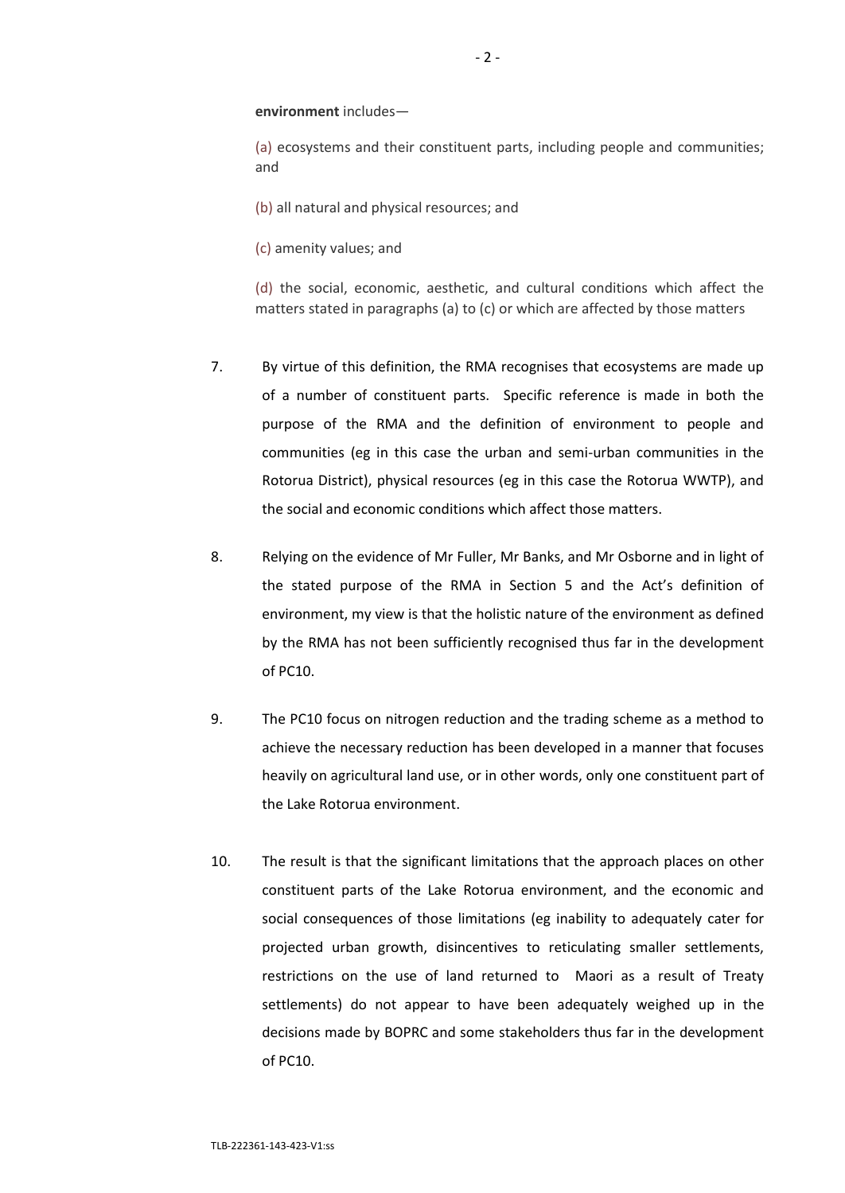**environment** includes—

(a) ecosystems and their constituent parts, including people and communities; and

(b) all natural and physical resources; and

(c) amenity values; and

(d) the social, economic, aesthetic, and cultural conditions which affect the matters stated in paragraphs (a) to (c) or which are affected by those matters

- 7. By virtue of this definition, the RMA recognises that ecosystems are made up of a number of constituent parts. Specific reference is made in both the purpose of the RMA and the definition of environment to people and communities (eg in this case the urban and semi-urban communities in the Rotorua District), physical resources (eg in this case the Rotorua WWTP), and the social and economic conditions which affect those matters.
- 8. Relying on the evidence of Mr Fuller, Mr Banks, and Mr Osborne and in light of the stated purpose of the RMA in Section 5 and the Act's definition of environment, my view is that the holistic nature of the environment as defined by the RMA has not been sufficiently recognised thus far in the development of PC10.
- 9. The PC10 focus on nitrogen reduction and the trading scheme as a method to achieve the necessary reduction has been developed in a manner that focuses heavily on agricultural land use, or in other words, only one constituent part of the Lake Rotorua environment.
- 10. The result is that the significant limitations that the approach places on other constituent parts of the Lake Rotorua environment, and the economic and social consequences of those limitations (eg inability to adequately cater for projected urban growth, disincentives to reticulating smaller settlements, restrictions on the use of land returned to Maori as a result of Treaty settlements) do not appear to have been adequately weighed up in the decisions made by BOPRC and some stakeholders thus far in the development of PC10.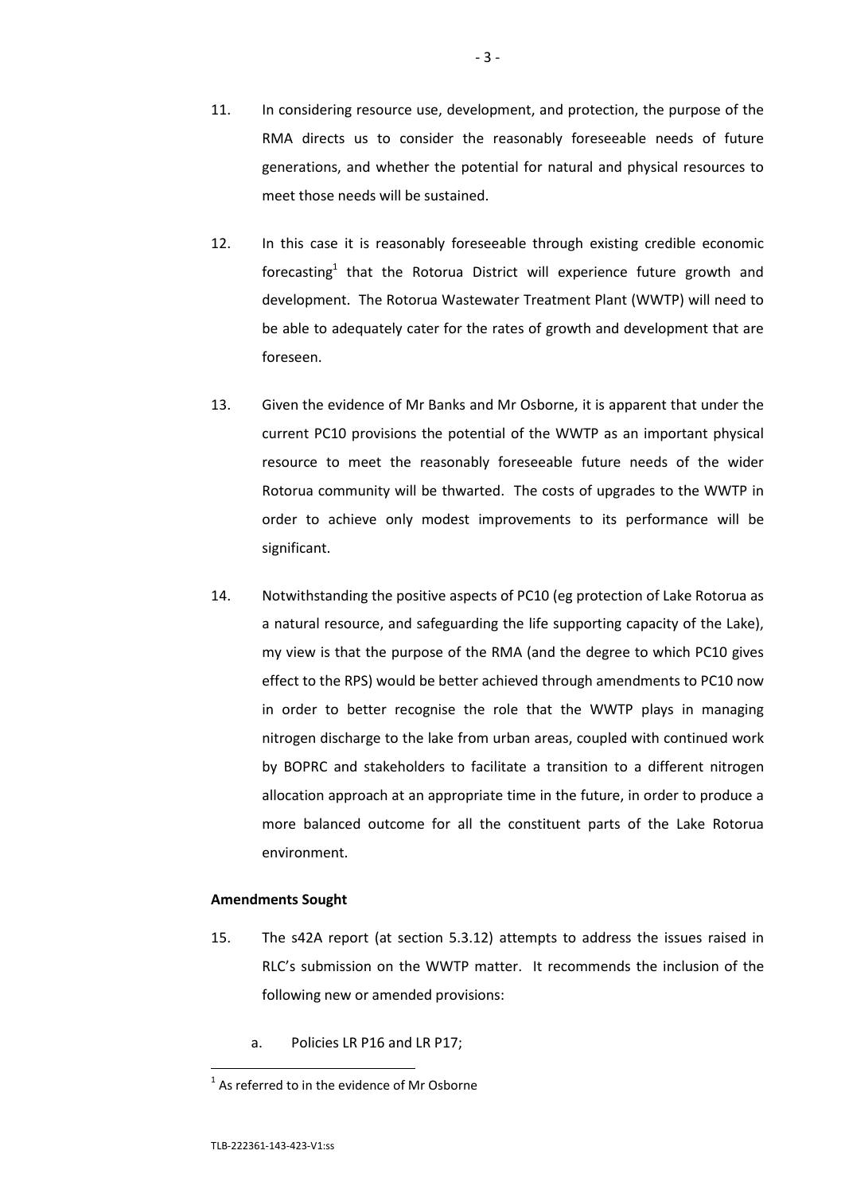- 11. In considering resource use, development, and protection, the purpose of the RMA directs us to consider the reasonably foreseeable needs of future generations, and whether the potential for natural and physical resources to meet those needs will be sustained.
- 12. In this case it is reasonably foreseeable through existing credible economic forecasting<sup>1</sup> that the Rotorua District will experience future growth and development. The Rotorua Wastewater Treatment Plant (WWTP) will need to be able to adequately cater for the rates of growth and development that are foreseen.
- 13. Given the evidence of Mr Banks and Mr Osborne, it is apparent that under the current PC10 provisions the potential of the WWTP as an important physical resource to meet the reasonably foreseeable future needs of the wider Rotorua community will be thwarted. The costs of upgrades to the WWTP in order to achieve only modest improvements to its performance will be significant.
- 14. Notwithstanding the positive aspects of PC10 (eg protection of Lake Rotorua as a natural resource, and safeguarding the life supporting capacity of the Lake), my view is that the purpose of the RMA (and the degree to which PC10 gives effect to the RPS) would be better achieved through amendments to PC10 now in order to better recognise the role that the WWTP plays in managing nitrogen discharge to the lake from urban areas, coupled with continued work by BOPRC and stakeholders to facilitate a transition to a different nitrogen allocation approach at an appropriate time in the future, in order to produce a more balanced outcome for all the constituent parts of the Lake Rotorua environment.

#### **Amendments Sought**

- 15. The s42A report (at section 5.3.12) attempts to address the issues raised in RLC's submission on the WWTP matter. It recommends the inclusion of the following new or amended provisions:
	- a. Policies LR P16 and LR P17;

 1 As referred to in the evidence of Mr Osborne